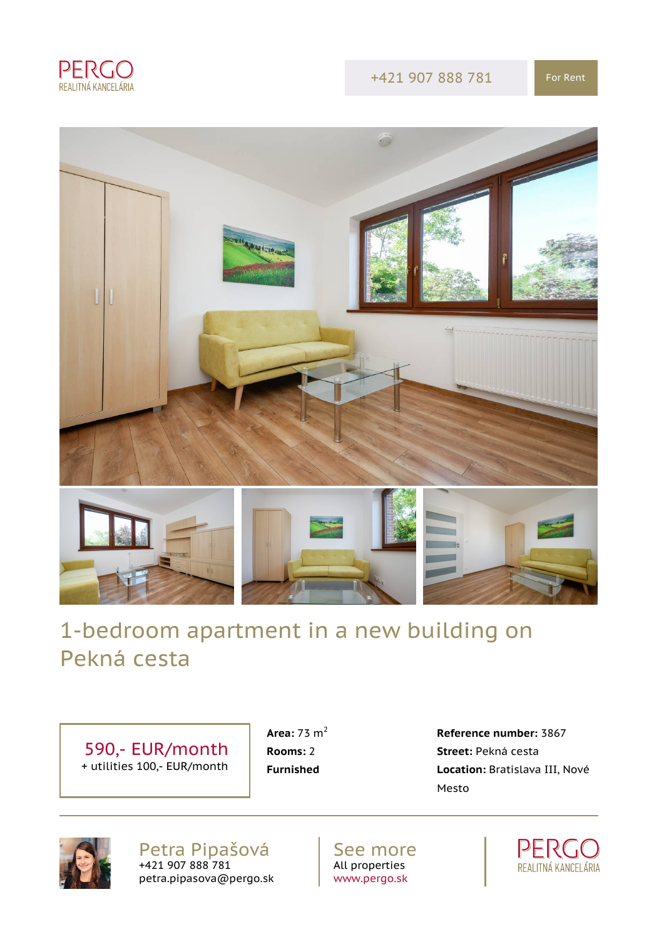

#### +421 907 888 781 For Rent



# 1-bedroom apartment in a new building on Pekná cesta

 590,- EUR/month + utilities 100,- EUR/month

 **Area:** 73 m<sup>2</sup> **Reference number:** 3867 **Rooms:** 2 **Street:** Pekná cesta **Furnished Location:** Bratislava III, Nové Mesto



Petra Pipašová +421 907 888 781 petra.pipasova@pergo.sk

See more All properties [www.pergo.sk](http://www.pergo.sk)